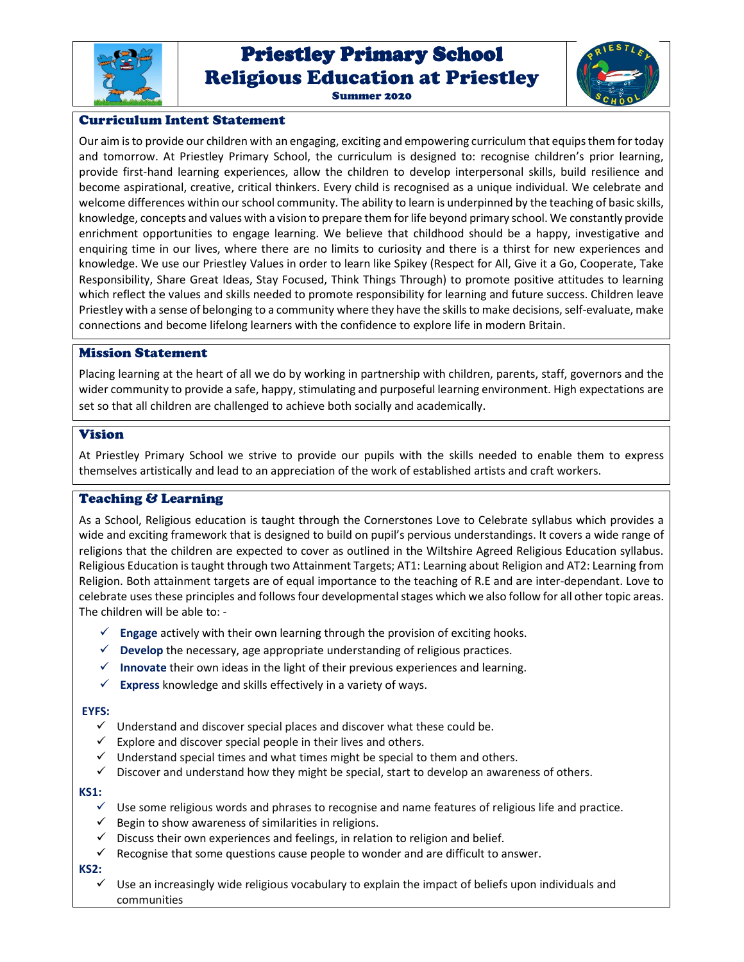

# Priestley Primary School Priestley Primary School Religious Education at Priestley



#### Summer 2020

# Curriculum Intent Statement

Our aim is to provide our children with an engaging, exciting and empowering curriculum that equips them for today and tomorrow. At Priestley Primary School, the curriculum is designed to: recognise children's prior learning, provide first-hand learning experiences, allow the children to develop interpersonal skills, build resilience and become aspirational, creative, critical thinkers. Every child is recognised as a unique individual. We celebrate and welcome differences within our school community. The ability to learn is underpinned by the teaching of basic skills, knowledge, concepts and values with a vision to prepare them for life beyond primary school. We constantly provide enrichment opportunities to engage learning. We believe that childhood should be a happy, investigative and enquiring time in our lives, where there are no limits to curiosity and there is a thirst for new experiences and knowledge. We use our Priestley Values in order to learn like Spikey (Respect for All, Give it a Go, Cooperate, Take Responsibility, Share Great Ideas, Stay Focused, Think Things Through) to promote positive attitudes to learning which reflect the values and skills needed to promote responsibility for learning and future success. Children leave Priestley with a sense of belonging to a community where they have the skills to make decisions, self-evaluate, make connections and become lifelong learners with the confidence to explore life in modern Britain.

## Mission Statement

Placing learning at the heart of all we do by working in partnership with children, parents, staff, governors and the wider community to provide a safe, happy, stimulating and purposeful learning environment. High expectations are set so that all children are challenged to achieve both socially and academically.

## Vision

At Priestley Primary School we strive to provide our pupils with the skills needed to enable them to express themselves artistically and lead to an appreciation of the work of established artists and craft workers.

# Teaching & Learning

As a School, Religious education is taught through the Cornerstones Love to Celebrate syllabus which provides a wide and exciting framework that is designed to build on pupil's pervious understandings. It covers a wide range of religions that the children are expected to cover as outlined in the Wiltshire Agreed Religious Education syllabus. Religious Education is taught through two Attainment Targets; AT1: Learning about Religion and AT2: Learning from Religion. Both attainment targets are of equal importance to the teaching of R.E and are inter-dependant. Love to celebrate uses these principles and follows four developmental stages which we also follow for all other topic areas. The children will be able to: -

- **Engage** actively with their own learning through the provision of exciting hooks.
- **Develop** the necessary, age appropriate understanding of religious practices.
- **Innovate** their own ideas in the light of their previous experiences and learning.
- **Express** knowledge and skills effectively in a variety of ways.

#### **EYFS:**

- $\checkmark$  Understand and discover special places and discover what these could be.
- $\checkmark$  Explore and discover special people in their lives and others.
- Understand special times and what times might be special to them and others.
- $\checkmark$  Discover and understand how they might be special, start to develop an awareness of others.

#### **KS1:**

- $\checkmark$  Use some religious words and phrases to recognise and name features of religious life and practice.
- $\checkmark$  Begin to show awareness of similarities in religions.
- Discuss their own experiences and feelings, in relation to religion and belief.
- $\checkmark$  Recognise that some questions cause people to wonder and are difficult to answer.

#### **KS2:**

 $\checkmark$  Use an increasingly wide religious vocabulary to explain the impact of beliefs upon individuals and communities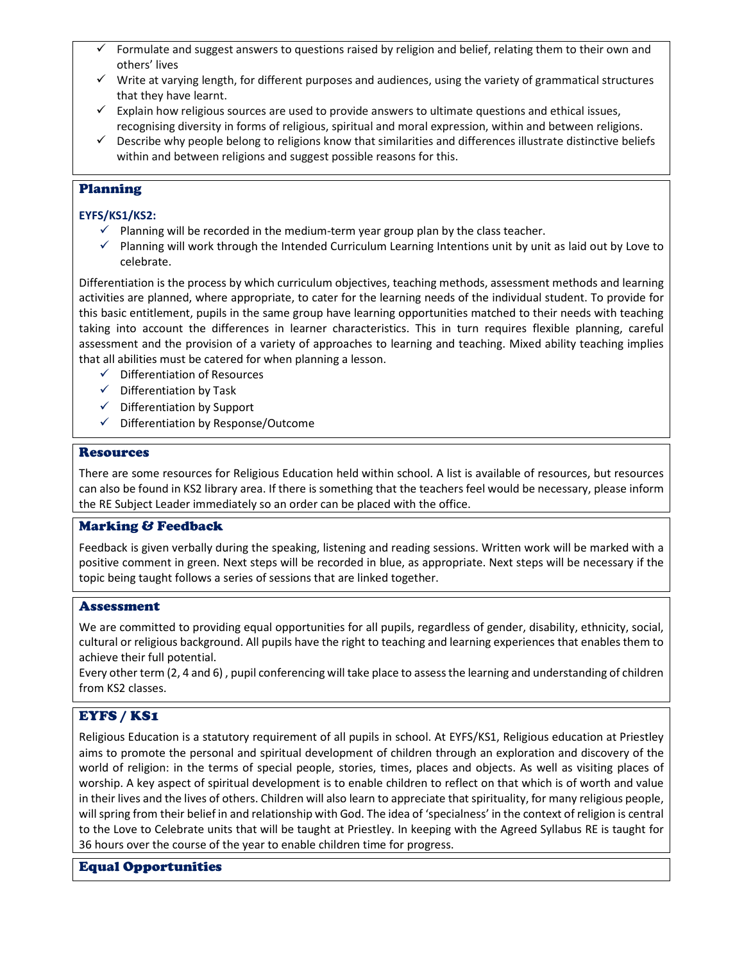- Formulate and suggest answers to questions raised by religion and belief, relating them to their own and others' lives
- $\checkmark$  Write at varying length, for different purposes and audiences, using the variety of grammatical structures that they have learnt.
- $\checkmark$  Explain how religious sources are used to provide answers to ultimate questions and ethical issues, recognising diversity in forms of religious, spiritual and moral expression, within and between religions.
- $\checkmark$  Describe why people belong to religions know that similarities and differences illustrate distinctive beliefs within and between religions and suggest possible reasons for this.

# Planning

# **EYFS/KS1/KS2:**

- $\checkmark$  Planning will be recorded in the medium-term year group plan by the class teacher.
- $\checkmark$  Planning will work through the Intended Curriculum Learning Intentions unit by unit as laid out by Love to celebrate.

Differentiation is the process by which curriculum objectives, teaching methods, assessment methods and learning activities are planned, where appropriate, to cater for the learning needs of the individual student. To provide for this basic entitlement, pupils in the same group have learning opportunities matched to their needs with teaching taking into account the differences in learner characteristics. This in turn requires flexible planning, careful assessment and the provision of a variety of approaches to learning and teaching. Mixed ability teaching implies that all abilities must be catered for when planning a lesson.

- $\checkmark$  Differentiation of Resources
- $\checkmark$  Differentiation by Task
- $\checkmark$  Differentiation by Support
- $\checkmark$  Differentiation by Response/Outcome

## Resources

There are some resources for Religious Education held within school. A list is available of resources, but resources can also be found in KS2 library area. If there is something that the teachers feel would be necessary, please inform the RE Subject Leader immediately so an order can be placed with the office.

# Marking & Feedback

Feedback is given verbally during the speaking, listening and reading sessions. Written work will be marked with a positive comment in green. Next steps will be recorded in blue, as appropriate. Next steps will be necessary if the topic being taught follows a series of sessions that are linked together.

#### Assessment

We are committed to providing equal opportunities for all pupils, regardless of gender, disability, ethnicity, social, cultural or religious background. All pupils have the right to teaching and learning experiences that enables them to achieve their full potential.

Every other term (2, 4 and 6) , pupil conferencing will take place to assess the learning and understanding of children from KS2 classes.

# EYFS / KS1

Religious Education is a statutory requirement of all pupils in school. At EYFS/KS1, Religious education at Priestley aims to promote the personal and spiritual development of children through an exploration and discovery of the world of religion: in the terms of special people, stories, times, places and objects. As well as visiting places of worship. A key aspect of spiritual development is to enable children to reflect on that which is of worth and value in their lives and the lives of others. Children will also learn to appreciate that spirituality, for many religious people, will spring from their belief in and relationship with God. The idea of 'specialness' in the context of religion is central to the Love to Celebrate units that will be taught at Priestley. In keeping with the Agreed Syllabus RE is taught for 36 hours over the course of the year to enable children time for progress.

# Equal Opportunities